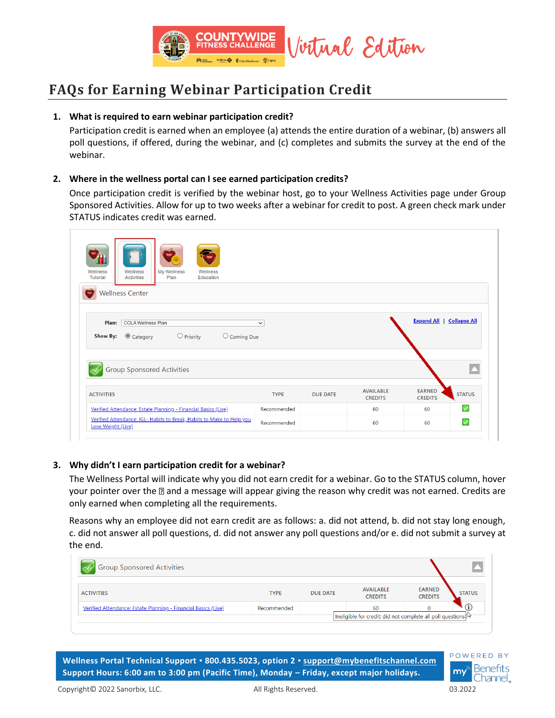

# **FAQs for Earning Webinar Participation Credit**

## **1. What is required to earn webinar participation credit?**

Participation credit is earned when an employee (a) attends the entire duration of a webinar, (b) answers all poll questions, if offered, during the webinar, and (c) completes and submits the survey at the end of the webinar.

#### **2. Where in the wellness portal can I see earned participation credits?**

Once participation credit is verified by the webinar host, go to your Wellness Activities page under Group Sponsored Activities. Allow for up to two weeks after a webinar for credit to post. A green check mark under STATUS indicates credit was earned.

| My Wellness<br>Wellness<br>Wellness<br>Wellness<br>Tutorial<br>Education<br><b>Activities</b><br>Plan                       |             |                 |                                    |                                  |               |
|-----------------------------------------------------------------------------------------------------------------------------|-------------|-----------------|------------------------------------|----------------------------------|---------------|
| <b>Wellness Center</b><br>Plan:<br><b>COLA Wellness Plan</b><br>Category<br>$\bigcirc$ Priority<br>Show By:<br>O Coming Due | $\check{~}$ |                 |                                    | <b>Expand All   Collapse All</b> |               |
| <b>Group Sponsored Activities</b>                                                                                           |             |                 |                                    |                                  |               |
| <b>ACTIVITIES</b>                                                                                                           | <b>TYPE</b> | <b>DUE DATE</b> | <b>AVAILABLE</b><br><b>CREDITS</b> | <b>EARNED</b><br><b>CREDITS</b>  | <b>STATUS</b> |
| Verified Attendance: Estate Planning - Financial Basics (Live)                                                              | Recommended |                 | 60                                 | 60                               | $\checkmark$  |
|                                                                                                                             |             |                 |                                    |                                  |               |

## **3. Why didn't I earn participation credit for a webinar?**

The Wellness Portal will indicate why you did not earn credit for a webinar. Go to the STATUS column, hover your pointer over the  $\mathbb D$  and a message will appear giving the reason why credit was not earned. Credits are only earned when completing all the requirements.

Reasons why an employee did not earn credit are as follows: a. did not attend, b. did not stay long enough, c. did not answer all poll questions, d. did not answer any poll questions and/or e. did not submit a survey at the end.

| <b>Group Sponsored Activities</b>                              |             |                 |                                                               |                                 |               |
|----------------------------------------------------------------|-------------|-----------------|---------------------------------------------------------------|---------------------------------|---------------|
| <b>ACTIVITIES</b>                                              | <b>TYPE</b> | <b>DUE DATE</b> | <b>AVAILABLE</b><br><b>CREDITS</b>                            | <b>EARNED</b><br><b>CREDITS</b> | <b>STATUS</b> |
| Verified Attendance: Estate Planning - Financial Basics (Live) | Recommended |                 | 60                                                            |                                 |               |
|                                                                |             |                 | Ineligible for credit: did not complete all poll questions (V |                                 |               |

**Wellness Portal Technical Support ▪ 800.435.5023, option 2 ▪ [support@mybenefitschannel.com](mailto:support@mybenefitschannel.com) Support Hours: 6:00 am to 3:00 pm (Pacific Time), Monday – Friday, except major holidays.**